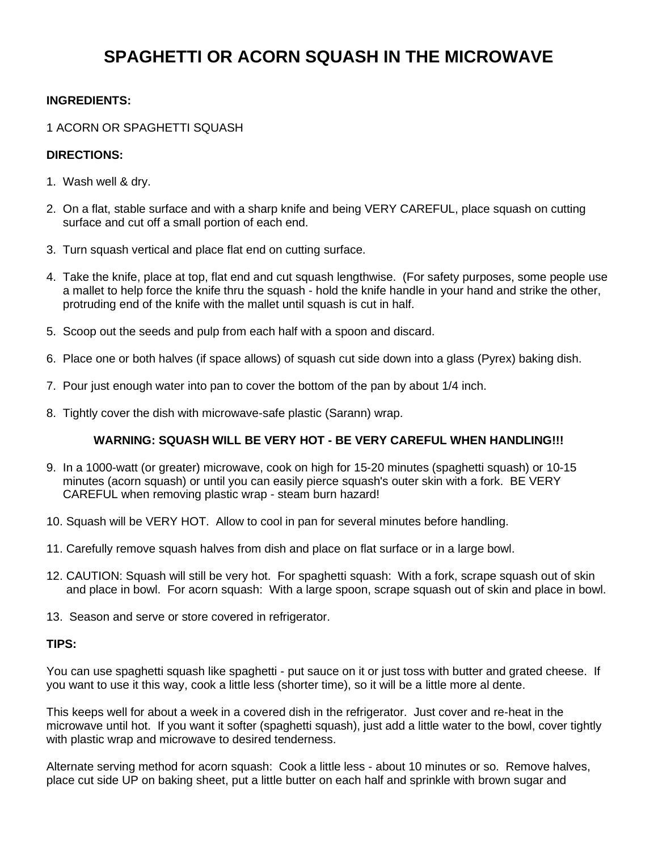# **SPAGHETTI OR ACORN SQUASH IN THE MICROWAVE**

### **INGREDIENTS:**

### 1 ACORN OR SPAGHETTI SQUASH

### **DIRECTIONS:**

- 1. Wash well & dry.
- 2. On a flat, stable surface and with a sharp knife and being VERY CAREFUL, place squash on cutting surface and cut off a small portion of each end.
- 3. Turn squash vertical and place flat end on cutting surface.
- 4. Take the knife, place at top, flat end and cut squash lengthwise. (For safety purposes, some people use a mallet to help force the knife thru the squash - hold the knife handle in your hand and strike the other, protruding end of the knife with the mallet until squash is cut in half.
- 5. Scoop out the seeds and pulp from each half with a spoon and discard.
- 6. Place one or both halves (if space allows) of squash cut side down into a glass (Pyrex) baking dish.
- 7. Pour just enough water into pan to cover the bottom of the pan by about 1/4 inch.
- 8. Tightly cover the dish with microwave-safe plastic (Sarann) wrap.

### **WARNING: SQUASH WILL BE VERY HOT - BE VERY CAREFUL WHEN HANDLING!!!**

- 9. In a 1000-watt (or greater) microwave, cook on high for 15-20 minutes (spaghetti squash) or 10-15 minutes (acorn squash) or until you can easily pierce squash's outer skin with a fork. BE VERY CAREFUL when removing plastic wrap - steam burn hazard!
- 10. Squash will be VERY HOT. Allow to cool in pan for several minutes before handling.
- 11. Carefully remove squash halves from dish and place on flat surface or in a large bowl.
- 12. CAUTION: Squash will still be very hot. For spaghetti squash: With a fork, scrape squash out of skin and place in bowl. For acorn squash: With a large spoon, scrape squash out of skin and place in bowl.
- 13. Season and serve or store covered in refrigerator.

#### **TIPS:**

You can use spaghetti squash like spaghetti - put sauce on it or just toss with butter and grated cheese. If you want to use it this way, cook a little less (shorter time), so it will be a little more al dente.

This keeps well for about a week in a covered dish in the refrigerator. Just cover and re-heat in the microwave until hot. If you want it softer (spaghetti squash), just add a little water to the bowl, cover tightly with plastic wrap and microwave to desired tenderness.

Alternate serving method for acorn squash: Cook a little less - about 10 minutes or so. Remove halves, place cut side UP on baking sheet, put a little butter on each half and sprinkle with brown sugar and